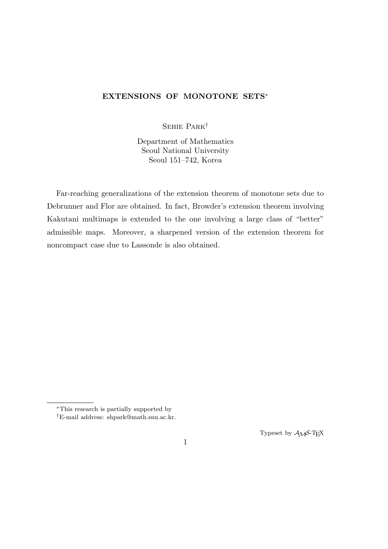# **EXTENSIONS OF MONOTONE SETS***<sup>∗</sup>*

Sehie Park*†*

Department of Mathematics Seoul National University Seoul 151–742, Korea

Far-reaching generalizations of the extension theorem of monotone sets due to Debrunner and Flor are obtained. In fact, Browder's extension theorem involving Kakutani multimaps is extended to the one involving a large class of "better" admissible maps. Moreover, a sharpened version of the extension theorem for noncompact case due to Lassonde is also obtained.

Typeset by  $A_{\mathcal{M}}S$ -T<sub>E</sub>X

*<sup>∗</sup>*This research is partially supported by

*<sup>†</sup>*E-mail address: shpark@math.snu.ac.kr.

<sup>1</sup>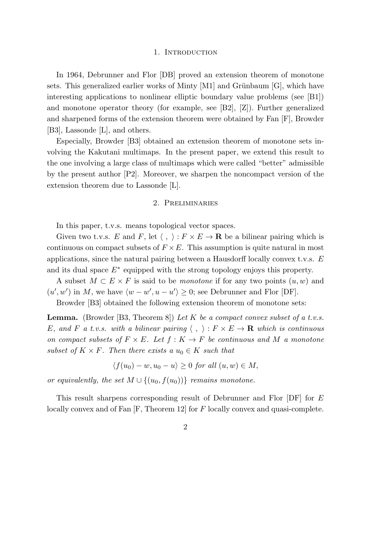## 1. INTRODUCTION

In 1964, Debrunner and Flor [DB] proved an extension theorem of monotone sets. This generalized earlier works of Minty  $[M1]$  and Grünbaum  $[G]$ , which have interesting applications to nonlinear elliptic boundary value problems (see [B1]) and monotone operator theory (for example, see [B2], [Z]). Further generalized and sharpened forms of the extension theorem were obtained by Fan [F], Browder [B3], Lassonde [L], and others.

Especially, Browder [B3] obtained an extension theorem of monotone sets involving the Kakutani multimaps. In the present paper, we extend this result to the one involving a large class of multimaps which were called "better" admissible by the present author [P2]. Moreover, we sharpen the noncompact version of the extension theorem due to Lassonde [L].

# 2. Preliminaries

In this paper, t.v.s. means topological vector spaces.

Given two t.v.s. *E* and *F*, let  $\langle , \rangle : F \times E \to \mathbf{R}$  be a bilinear pairing which is continuous on compact subsets of  $F \times E$ . This assumption is quite natural in most applications, since the natural pairing between a Hausdorff locally convex t.v.s. *E* and its dual space *E<sup>∗</sup>* equipped with the strong topology enjoys this property.

A subset  $M ⊂ E × F$  is said to be *monotone* if for any two points  $(u, w)$  and  $(u', w')$  in *M*, we have  $\langle w - w', u - u' \rangle \geq 0$ ; see Debrunner and Flor [DF].

Browder [B3] obtained the following extension theorem of monotone sets:

**Lemma.** (Browder [B3, Theorem 8]) *Let K be a compact convex subset of a t.v.s. E,* and *F* a t.v.s. with a bilinear pairing  $\langle , \rangle : F \times E \to \mathbf{R}$  which is continuous *on compact subsets of*  $F \times E$ *. Let*  $f : K \to F$  *be continuous and*  $M$  *a monotone subset of*  $K \times F$ *. Then there exists a*  $u_0 \in K$  *such that* 

$$
\langle f(u_0) - w, u_0 - u \rangle \ge 0 \text{ for all } (u, w) \in M,
$$

*or equivalently, the set*  $M \cup \{(u_0, f(u_0))\}$  *remains monotone.* 

This result sharpens corresponding result of Debrunner and Flor [DF] for *E* locally convex and of Fan [F, Theorem 12] for *F* locally convex and quasi-complete.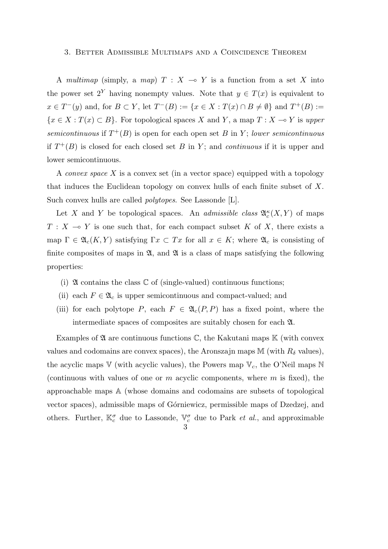## 3. Better Admissible Multimaps and a Coincidence Theorem

A *multimap* (simply, a *map*)  $T : X \rightarrow Y$  is a function from a set X into the power set  $2^Y$  having nonempty values. Note that  $y \in T(x)$  is equivalent to  $x \in T^{-}(y)$  and, for  $B \subset Y$ , let  $T^{-}(B) := \{x \in X : T(x) \cap B \neq \emptyset\}$  and  $T^{+}(B) :=$ *{x* ∈ *X* : *T*(*x*) ⊂ *B}*. For topological spaces *X* and *Y*, a map *T* : *X*  $\rightarrow$  *Y* is *upper semicontinuous* if  $T^+(B)$  is open for each open set *B* in *Y*; *lower semicontinuous* if  $T^+(B)$  is closed for each closed set *B* in *Y*; and *continuous* if it is upper and lower semicontinuous.

A *convex space X* is a convex set (in a vector space) equipped with a topology that induces the Euclidean topology on convex hulls of each finite subset of *X*. Such convex hulls are called *polytopes*. See Lassonde [L].

Let *X* and *Y* be topological spaces. An *admissible class*  $\mathfrak{A}_{c}^{\kappa}(X, Y)$  of maps  $T: X \rightarrow Y$  is one such that, for each compact subset *K* of *X*, there exists a map  $\Gamma \in \mathfrak{A}_c(K, Y)$  satisfying  $\Gamma x \subset Tx$  for all  $x \in K$ ; where  $\mathfrak{A}_c$  is consisting of finite composites of maps in  $\mathfrak{A}$ , and  $\mathfrak{A}$  is a class of maps satisfying the following properties:

- (i)  $\mathfrak A$  contains the class  $\mathbb C$  of (single-valued) continuous functions;
- (ii) each  $F \in \mathfrak{A}_c$  is upper semicontinuous and compact-valued; and
- (iii) for each polytope *P*, each  $F \in \mathfrak{A}_c(P, P)$  has a fixed point, where the intermediate spaces of composites are suitably chosen for each A.

Examples of  $\mathfrak A$  are continuous functions  $\mathbb C$ , the Kakutani maps  $\mathbb K$  (with convex values and codomains are convex spaces), the Aronszajn maps  $M$  (with  $R_\delta$  values), the acyclic maps  $V$  (with acyclic values), the Powers map  $V_c$ , the O'Neil maps N (continuous with values of one or *m* acyclic components, where *m* is fixed), the approachable maps A (whose domains and codomains are subsets of topological vector spaces), admissible maps of G´orniewicz, permissible maps of Dzedzej, and others. Further,  $\mathbb{K}_c^{\sigma}$  due to Lassonde,  $\mathbb{V}_c^{\sigma}$  due to Park *et al.*, and approximable 3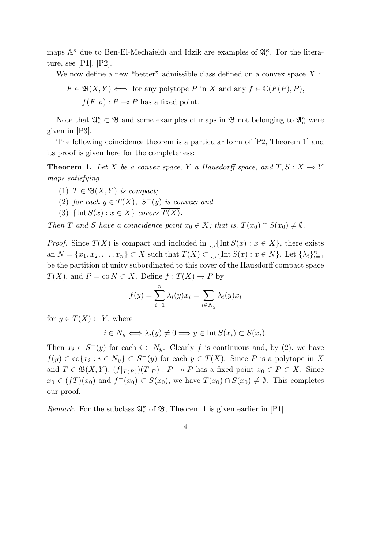maps  $\mathbb{A}^{\kappa}$  due to Ben-El-Mechaiekh and Idzik are examples of  $\mathfrak{A}_{c}^{\kappa}$ . For the literature, see [P1], [P2].

We now define a new "better" admissible class defined on a convex space *X* :

$$
F \in \mathfrak{B}(X, Y) \iff \text{for any polytope } P \text{ in } X \text{ and any } f \in \mathbb{C}(F(P), P),
$$
  

$$
f(F|_{P}) : P \multimap P \text{ has a fixed point.}
$$

Note that  $\mathfrak{A}_{c}^{\kappa} \subset \mathfrak{B}$  and some examples of maps in  $\mathfrak{B}$  not belonging to  $\mathfrak{A}_{c}^{\kappa}$  were given in [P3].

The following coincidence theorem is a particular form of [P2, Theorem 1] and its proof is given here for the completeness:

**Theorem 1.** Let *X* be a convex space, *Y* a Hausdorff space, and  $T, S: X \rightarrow Y$ *maps satisfying*

- (1)  $T \in \mathfrak{B}(X, Y)$  *is compact*;
- (2) *for each*  $y \in T(X)$ *,*  $S^-(y)$  *is convex; and*
- (3)  $\{\text{Int } S(x) : x \in X\}$  *covers*  $\overline{T(X)}$ *.*

*Then T* and *S* have a coincidence point  $x_0 \in X$ ; that is,  $T(x_0) \cap S(x_0) \neq \emptyset$ .

*Proof.* Since  $\overline{T(X)}$  is compact and included in  $\bigcup \{\text{Int } S(x) : x \in X\}$ , there exists an  $N = \{x_1, x_2, \ldots, x_n\} \subset X$  such that  $\overline{T(X)} \subset \bigcup \{\text{Int } S(x) : x \in N\}$ . Let  $\{\lambda_i\}_{i=1}^n$ be the partition of unity subordinated to this cover of the Hausdorff compact space  $\overline{T(X)}$ , and  $P = \text{co } N \subset X$ . Define  $f : \overline{T(X)} \to P$  by

$$
f(y) = \sum_{i=1}^{n} \lambda_i(y)x_i = \sum_{i \in N_y} \lambda_i(y)x_i
$$

for  $y \in \overline{T(X)} \subset Y$ , where

$$
i \in N_y \Longleftrightarrow \lambda_i(y) \neq 0 \Longrightarrow y \in \text{Int } S(x_i) \subset S(x_i).
$$

Then  $x_i \in S^-(y)$  for each  $i \in N_y$ . Clearly f is continuous and, by (2), we have  $f(y) \in \text{co}\{x_i : i \in N_y\} \subset S^-(y)$  for each  $y \in T(X)$ . Since *P* is a polytope in *X* and  $T \in \mathfrak{B}(X, Y)$ ,  $(f|_{T(P)})(T|_{P})$ :  $P \multimap P$  has a fixed point  $x_0 \in P \subset X$ . Since *x*<sub>0</sub> ∈ (*fT*)(*x*<sub>0</sub>) and *f*<sup>−</sup>(*x*<sub>0</sub>) ⊂ *S*(*x*<sub>0</sub>), we have *T*(*x*<sub>0</sub>) ∩ *S*(*x*<sub>0</sub>) ≠  $\emptyset$ . This completes our proof.

*Remark.* For the subclass  $\mathfrak{A}_{c}^{\kappa}$  of  $\mathfrak{B}$ , Theorem 1 is given earlier in [P1].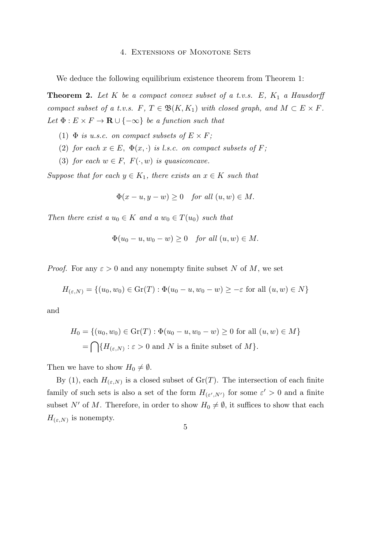## 4. Extensions of Monotone Sets

We deduce the following equilibrium existence theorem from Theorem 1:

**Theorem 2.** Let  $K$  be a compact convex subset of a t.v.s.  $E$ ,  $K_1$  a Hausdorff *compact subset of a t.v.s.*  $F, T \in \mathfrak{B}(K, K_1)$  *with closed graph, and*  $M \subset E \times F$ . *Let*  $\Phi: E \times F \to \mathbf{R} \cup \{-\infty\}$  *be a function such that* 

- (1)  $\Phi$  *is u.s.c. on compact subsets of*  $E \times F$ ;
- (2) *for each*  $x \in E$ ,  $\Phi(x, \cdot)$  *is l.s.c. on compact subsets of F*;
- (3) *for each*  $w \in F$ ,  $F(\cdot, w)$  *is quasiconcave.*

*Suppose that for each*  $y \in K_1$ *, there exists an*  $x \in K$  *such that* 

$$
\Phi(x - u, y - w) \ge 0 \quad \text{for all } (u, w) \in M.
$$

*Then there exist a*  $u_0 \in K$  *and a*  $w_0 \in T(u_0)$  *such that* 

$$
\Phi(u_0 - u, w_0 - w) \ge 0 \quad \text{for all } (u, w) \in M.
$$

*Proof.* For any  $\varepsilon > 0$  and any nonempty finite subset N of M, we set

$$
H_{(\varepsilon,N)} = \{(u_0, w_0) \in \text{Gr}(T) : \Phi(u_0 - u, w_0 - w) \ge -\varepsilon \text{ for all } (u, w) \in N\}
$$

and

$$
H_0 = \{(u_0, w_0) \in \text{Gr}(T) : \Phi(u_0 - u, w_0 - w) \ge 0 \text{ for all } (u, w) \in M\}
$$
  
= 
$$
\bigcap \{H_{(\varepsilon, N)} : \varepsilon > 0 \text{ and } N \text{ is a finite subset of } M\}.
$$

Then we have to show  $H_0 \neq \emptyset$ .

By (1), each  $H_{(\varepsilon,N)}$  is a closed subset of  $Gr(T)$ . The intersection of each finite family of such sets is also a set of the form  $H_{(\varepsilon',N')}$  for some  $\varepsilon' > 0$  and a finite subset *N'* of *M*. Therefore, in order to show  $H_0 \neq \emptyset$ , it suffices to show that each  $H_{(\varepsilon,N)}$  is nonempty.

$$
\overline{5}
$$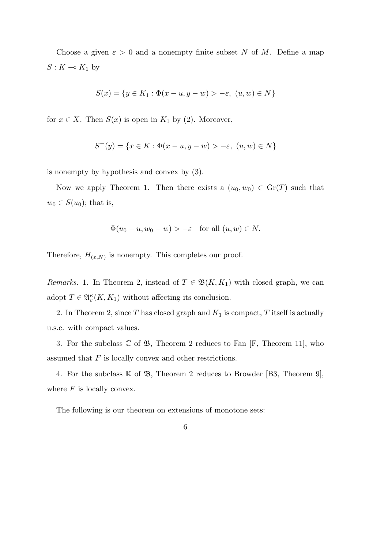Choose a given  $\varepsilon > 0$  and a nonempty finite subset *N* of *M*. Define a map  $S: K \multimap K_1$  by

$$
S(x) = \{ y \in K_1 : \Phi(x - u, y - w) > -\varepsilon, \ (u, w) \in N \}
$$

for  $x \in X$ . Then  $S(x)$  is open in  $K_1$  by (2). Moreover,

$$
S^{-}(y) = \{ x \in K : \Phi(x - u, y - w) > -\varepsilon, \ (u, w) \in N \}
$$

is nonempty by hypothesis and convex by (3).

Now we apply Theorem 1. Then there exists a  $(u_0, w_0) \in \text{Gr}(T)$  such that  $w_0 \in S(u_0)$ ; that is,

$$
\Phi(u_0 - u, w_0 - w) > -\varepsilon \quad \text{for all } (u, w) \in N.
$$

Therefore,  $H_{(\varepsilon,N)}$  is nonempty. This completes our proof.

*Remarks.* 1. In Theorem 2, instead of  $T \in \mathfrak{B}(K, K_1)$  with closed graph, we can adopt  $T \in \mathfrak{A}_c^{\kappa}(K, K_1)$  without affecting its conclusion.

2. In Theorem 2, since  $T$  has closed graph and  $K_1$  is compact,  $T$  itself is actually u.s.c. with compact values.

3. For the subclass  $\mathbb C$  of  $\mathfrak{B}$ , Theorem 2 reduces to Fan [F, Theorem 11], who assumed that *F* is locally convex and other restrictions.

4. For the subclass  $K$  of  $\mathfrak{B}$ , Theorem 2 reduces to Browder [B3, Theorem 9], where *F* is locally convex.

The following is our theorem on extensions of monotone sets: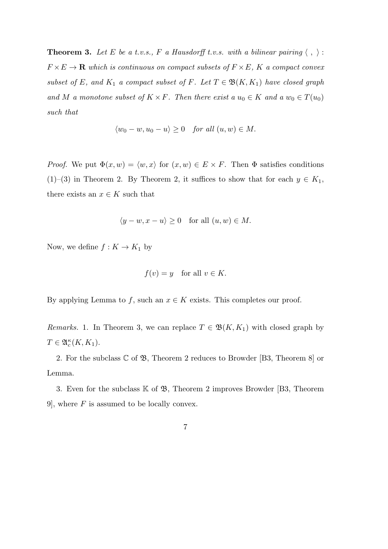**Theorem 3.** Let E be a t.v.s., F a Hausdorff t.v.s. with a bilinear pairing  $\langle , \rangle$ :  $F \times E \to \mathbf{R}$  *which is continuous on compact subsets of*  $F \times E$ *,*  $K$  *a compact convex subset of*  $E$ *, and*  $K_1$  *a compact subset of*  $F$ *. Let*  $T \in \mathfrak{B}(K, K_1)$  *have closed graph and M a* monotone subset of  $K \times F$ *. Then there exist a*  $u_0 \in K$  *and*  $a w_0 \in T(u_0)$ *such that*

$$
\langle w_0 - w, u_0 - u \rangle \ge 0 \quad for all  $(u, w) \in M$ .
$$

*Proof.* We put  $\Phi(x, w) = \langle w, x \rangle$  for  $(x, w) \in E \times F$ . Then  $\Phi$  satisfies conditions (1)–(3) in Theorem 2. By Theorem 2, it suffices to show that for each  $y \in K_1$ , there exists an  $x \in K$  such that

$$
\langle y - w, x - u \rangle \ge 0 \quad \text{for all } (u, w) \in M.
$$

Now, we define  $f: K \to K_1$  by

$$
f(v) = y \quad \text{for all } v \in K.
$$

By applying Lemma to  $f$ , such an  $x \in K$  exists. This completes our proof.

*Remarks.* 1. In Theorem 3, we can replace  $T \in \mathfrak{B}(K, K_1)$  with closed graph by  $T \in \mathfrak{A}_c^{\kappa}(K, K_1).$ 

2. For the subclass  $\mathbb C$  of  $\mathfrak{B}$ , Theorem 2 reduces to Browder [B3, Theorem 8] or Lemma.

3. Even for the subclass  $K$  of  $\mathfrak{B}$ , Theorem 2 improves Browder [B3, Theorem 9], where *F* is assumed to be locally convex.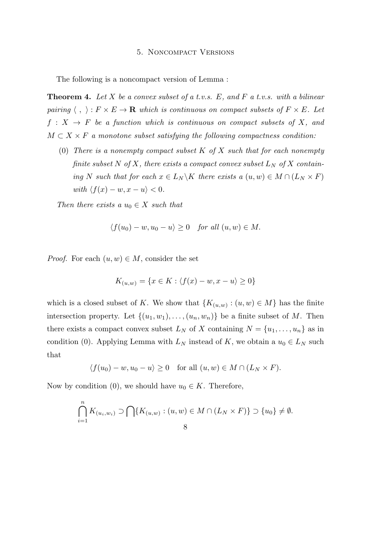## 5. Noncompact Versions

The following is a noncompact version of Lemma :

**Theorem 4.** *Let X be a convex subset of a t.v.s. E, and F a t.v.s. with a bilinear pairing*  $\langle , \rangle : F \times E \to \mathbf{R}$  *which is continuous on compact subsets of*  $F \times E$ *. Let*  $f: X \rightarrow F$  *be a function which is continuous on compact subsets of*  $X$ *, and*  $M \subset X \times F$  *a monotone subset satisfying the following compactness condition:* 

(0) *There is a nonempty compact subset K of X such that for each nonempty finite subset*  $N$  *of*  $X$ *, there exists a compact convex subset*  $L_N$  *of*  $X$  *containing N such that for each*  $x \in L_N \backslash K$  *there exists a*  $(u, w) \in M \cap (L_N \times F)$ *with*  $\langle f(x) - w, x - u \rangle < 0$ .

*Then there exists a*  $u_0 \in X$  *such that* 

$$
\langle f(u_0)-w, u_0-u\rangle \ge 0 \quad for all (u, w) \in M.
$$

*Proof.* For each  $(u, w) \in M$ , consider the set

$$
K_{(u,w)} = \{x \in K : \langle f(x) - w, x - u \rangle \ge 0\}
$$

which is a closed subset of *K*. We show that  ${K_{(u,w)}: (u,w) \in M}$  has the finite intersection property. Let  $\{(u_1, w_1), \ldots, (u_n, w_n)\}\)$  be a finite subset of *M*. Then there exists a compact convex subset  $L_N$  of X containing  $N = \{u_1, \ldots, u_n\}$  as in condition (0). Applying Lemma with  $L_N$  instead of  $K$ , we obtain a  $u_0 \in L_N$  such that

$$
\langle f(u_0)-w, u_0-u\rangle \ge 0 \quad \text{for all } (u, w) \in M \cap (L_N \times F).
$$

Now by condition (0), we should have  $u_0 \in K$ . Therefore,

$$
\bigcap_{i=1}^{n} K_{(u_i, w_i)} \supset \bigcap \{ K_{(u, w)} : (u, w) \in M \cap (L_N \times F) \} \supset \{u_0\} \neq \emptyset.
$$